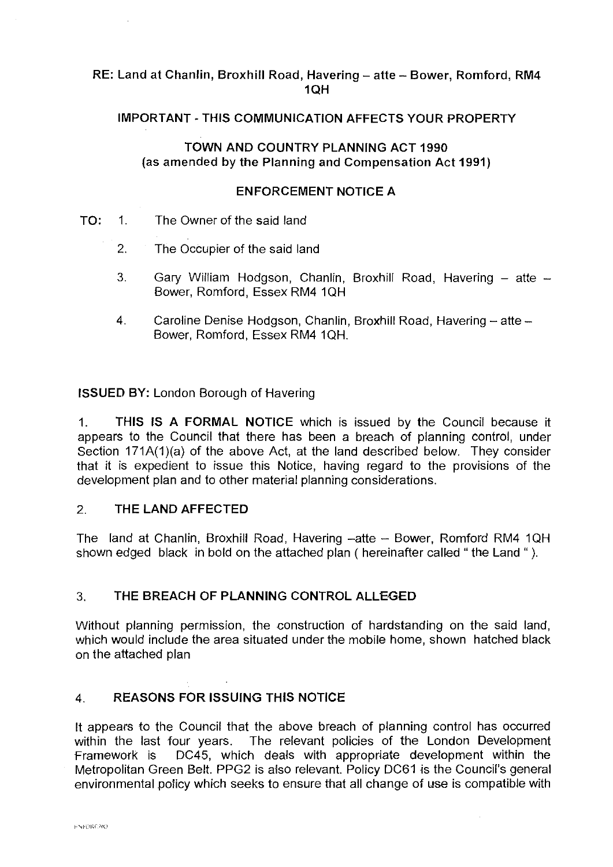# RE: Land at Chanlin, Broxhill Road, Havering - atte - Bower, Romford, RM4 1QH

# IMPORTANT· THIS COMMUNICATION AFFECTS YOUR PROPERTY

#### TOWN AND COUNTRY PLANNING ACT 1990 (as amended by the Planning and Compensation Act 1991)

#### ENFORCEMENT NOTICE A

- TO: 1. The Owner of the said land
	- 2. The Occupier of the said land
	- 3. Gary William Hodgson, Chanlin, Broxhill Road, Havering  $-$  atte  $-$ Bower, Romford, Essex RM4 1QH
	- 4. Caroline Denise Hodgson, Chanlin, Broxhill Road, Havering atte -Bower, Romford, Essex RM4 1QH.

**ISSUED BY:** London Borough of Havering

1. **THIS IS A FORMAL NOTICE** which is issued by the Council because it appears to the Council that there has been a breach of planning control, under Section 171A(1)(a) of the above Act, at the land described below. They consider that it is expedient to issue this Notice, having regard to the provisions of the development plan and to other material planning considerations.

#### 2. THE **LAND** AFFECTED

The land at Chanlin, Broxhill Road, Havering -atte - Bower, Romford RM4 1QH shown edged black in bold on the attached plan ( hereinafter called " the Land " ).

### 3. THE BREACH OF **PLANNING** CONTROL ALLEGED

Without planning permission, the construction of hardstanding on the said land, which would include the area situated under the mobile home, shown hatched black on the attached plan

### 4. **REASONS FOR ISSUING THIS NOTICE**

It appears to the Council that the above breach of planning control has occurred within the last four years. The relevant policies of the London Development Framework is DC45, which deals with appropriate development within the Metropolitan Green Belt. PPG2 is also relevant. Policy DC61 is the Council's general environmental policy which seeks to ensure that all change of use is compatible with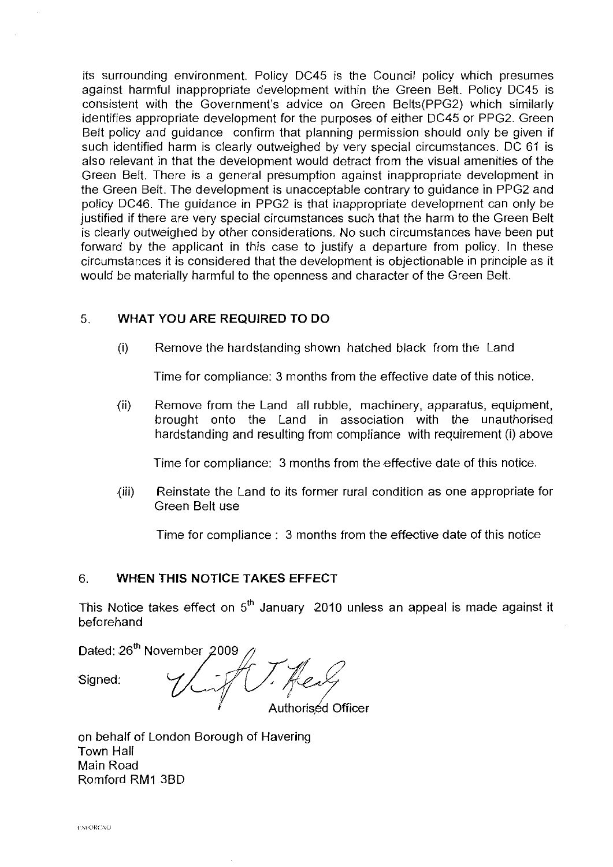its surrounding environment. Policy DC45 is the Council policy which presumes against harmful inappropriate development within the Green Belt. Policy DC45 is consistent with the Government's advice on Green Belts(PPG2) which similarly identifies appropriate development for the purposes of either DC45 or PPG2. Green Belt policy and guidance confirm that planning permission should only be given if such identified harm is clearly outweighed by very special circumstances. DC 61 is also relevant in that the development would detract from the visual amenities of the Green Belt. There is a general presumption against inappropriate development in the Green Belt. The development is unacceptable contrary to guidance in PPG2 and policy DC46. The guidance in PPG2 is that inappropriate development can only be justified if there are very special circumstances such that the harm to the Green Belt is clearly outweighed by other considerations. No such circumstances have been put forward by the applicant in this case to justify a departure from policy. In these circumstances it is considered that the development is objectionable in principle as it would be materially harmful to the openness and character of the Green Belt.

### 5. **WHAT YOU ARE REQUIRED TO DO**

(i) Remove the hardstanding shown hatched black from the Land

Time for compliance: 3 months from the effective date of this notice.

(ii) Remove from the Land all rubble, machinery, apparatus, equipment, brought onto the Land in association with the unauthorised hardstanding and resulting from compliance with requirement (i) above

Time for compliance: 3 months from the effective date of this notice.

{iii) Reinstate the Land to its former rural condition as one appropriate for Green Belt use

Time for compliance : 3 months from the effective date of this notice

### 6. **WHEN THIS NOTICE TAKES EFFECT**

This Notice takes effect on  $5<sup>th</sup>$  January 2010 unless an appeal is made against it beforehand

Dated: 26<sup>th</sup> November 2009<br>Signed: 4 Authoriséd Officer

on behalf of London Borough of Havering Town Hall Main Road Romford RM1 3BD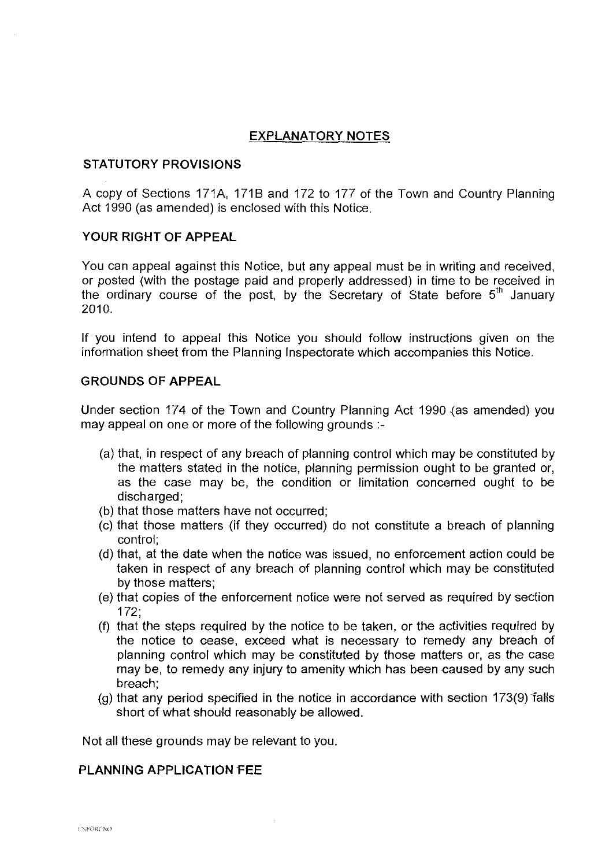# **EXPLANATORY NOTES**

#### **STATUTORY PROVISIONS**

A copy of Sections 171A, 171B and 172 to 177 of the Town and Country Planning Act 1990 (as amended) is enclosed with this Notice.

#### **YOUR RIGHT OF APPEAL**

You can appeal against this Notice, but any appeal must be in writing and received, or posted (with the postage paid and properly addressed) in time to be received in the ordinary course of the post, by the Secretary of State before  $5<sup>th</sup>$  January 2010.

If you intend to appeal this Notice you should follow instructions given on the information sheet from the Planning Inspectorate which accompanies this Notice.

#### **GROUNDS OF APPEAL**

Under section 174 of the Town and Country Planning Act 1990 {as amended) you may appeal on one or more of the following grounds :-

- (a) that, in respect of any breach of planning control which may be constituted by the matters stated in the notice, planning permission ought to be granted or, as the case may be, the condition or limitation concerned ought to be discharged;
- (b) that those matters have not occurred;
- (c) that those matters (if they occurred) do not constitute a breach of planning control;
- (d) that, at the date when the notice was issued, no enforcement action could be taken in respect of any breach of planning control which may be constituted by those matters;
- (e) that copies of the enforcement notice were not served as required by section 172;
- (f) that the steps required by the notice to be taken, or the activities required by the notice to cease, exceed what is necessary to remedy any breach of planning control which may be constituted by those matters or, as the case may be, to remedy any injury to amenity which has been caused by any such breach;
- (g) that any period specified in the notice in accordance with section 173(9) falls short of what should reasonably be allowed.

Not all these grounds may be relevant to you.

#### **PLANNING APPLICATION rEE**